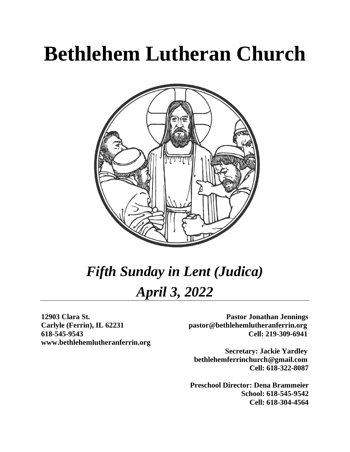# **Bethlehem Lutheran Church**



# *Fifth Sunday in Lent (Judica) April 3, 2022*

**www.bethlehemlutheranferrin.org**

**12903 Clara St. Pastor Jonathan Jennings Carlyle (Ferrin), IL 62231 pastor@bethlehemlutheranferrin.org 618-545-9543 Cell: 219-309-6941** 

> **Secretary: Jackie Yardley bethlehemferrinchurch@gmail.com Cell: 618-322-8087**

 **Preschool Director: Dena Brammeier School: 618-545-9542 Cell: 618-304-4564**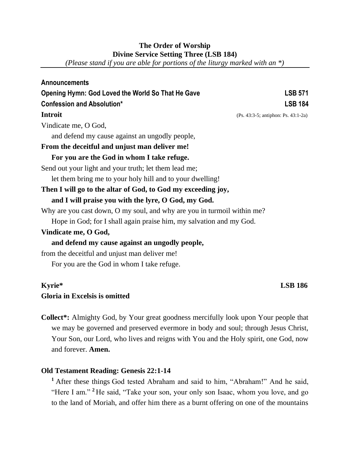# **The Order of Worship Divine Service Setting Three (LSB 184)**

*(Please stand if you are able for portions of the liturgy marked with an \*)*

| <b>Announcements</b>                                                    |                                     |
|-------------------------------------------------------------------------|-------------------------------------|
| Opening Hymn: God Loved the World So That He Gave                       | <b>LSB 571</b>                      |
| <b>Confession and Absolution*</b>                                       | <b>LSB 184</b>                      |
| <b>Introit</b>                                                          | (Ps. 43:3-5; antiphon: Ps. 43:1-2a) |
| Vindicate me, O God,                                                    |                                     |
| and defend my cause against an ungodly people,                          |                                     |
| From the deceitful and unjust man deliver me!                           |                                     |
| For you are the God in whom I take refuge.                              |                                     |
| Send out your light and your truth; let them lead me;                   |                                     |
| let them bring me to your holy hill and to your dwelling!               |                                     |
| Then I will go to the altar of God, to God my exceeding joy,            |                                     |
| and I will praise you with the lyre, O God, my God.                     |                                     |
| Why are you cast down, O my soul, and why are you in turmoil within me? |                                     |
| Hope in God; for I shall again praise him, my salvation and my God.     |                                     |
| Vindicate me, O God,                                                    |                                     |
| and defend my cause against an ungodly people,                          |                                     |
| from the deceitful and unjust man deliver me!                           |                                     |
| For you are the God in whom I take refuge.                              |                                     |
|                                                                         |                                     |

# **Kyrie\* LSB 186**

# **Gloria in Excelsis is omitted**

**Collect\*:** Almighty God, by Your great goodness mercifully look upon Your people that we may be governed and preserved evermore in body and soul; through Jesus Christ, Your Son, our Lord, who lives and reigns with You and the Holy spirit, one God, now and forever. **Amen.**

# **Old Testament Reading: Genesis 22:1-14**

**<sup>1</sup>**After these things God tested Abraham and said to him, "Abraham!" And he said, "Here I am."<sup>2</sup> He said, "Take your son, your only son Isaac, whom you love, and go to the land of Moriah, and offer him there as a burnt offering on one of the mountains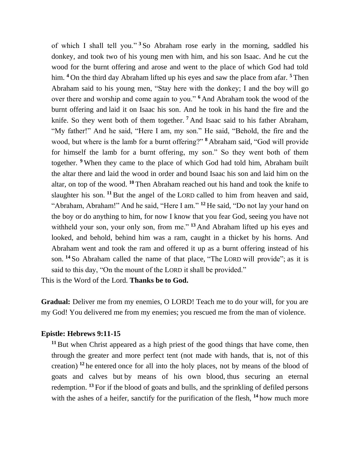of which I shall tell you." **<sup>3</sup>** So Abraham rose early in the morning, saddled his donkey, and took two of his young men with him, and his son Isaac. And he cut the wood for the burnt offering and arose and went to the place of which God had told him. **<sup>4</sup>** On the third day Abraham lifted up his eyes and saw the place from afar. **<sup>5</sup>** Then Abraham said to his young men, "Stay here with the donkey; I and the boy will go over there and worship and come again to you." **<sup>6</sup>** And Abraham took the wood of the burnt offering and laid it on Isaac his son. And he took in his hand the fire and the knife. So they went both of them together. **<sup>7</sup>** And Isaac said to his father Abraham, "My father!" And he said, "Here I am, my son." He said, "Behold, the fire and the wood, but where is the lamb for a burnt offering?" **<sup>8</sup>** Abraham said, "God will provide for himself the lamb for a burnt offering, my son." So they went both of them together. **<sup>9</sup>** When they came to the place of which God had told him, Abraham built the altar there and laid the wood in order and bound Isaac his son and laid him on the altar, on top of the wood. **<sup>10</sup>** Then Abraham reached out his hand and took the knife to slaughter his son. **<sup>11</sup>** But the angel of the LORD called to him from heaven and said, "Abraham, Abraham!" And he said, "Here I am." **<sup>12</sup>** He said, "Do not lay your hand on the boy or do anything to him, for now I know that you fear God, seeing you have not withheld your son, your only son, from me."<sup>13</sup> And Abraham lifted up his eyes and looked, and behold, behind him was a ram, caught in a thicket by his horns. And Abraham went and took the ram and offered it up as a burnt offering instead of his son. **<sup>14</sup>** So Abraham called the name of that place, "The LORD will provide"; as it is said to this day, "On the mount of the LORD it shall be provided."

This is the Word of the Lord. **Thanks be to God.**

**Gradual:** Deliver me from my enemies, O LORD! Teach me to do your will, for you are my God! You delivered me from my enemies; you rescued me from the man of violence.

#### **Epistle: Hebrews 9:11-15**

**<sup>11</sup>** But when Christ appeared as a high priest of the good things that have come, then through the greater and more perfect tent (not made with hands, that is, not of this creation) **<sup>12</sup>** he entered once for all into the holy places, not by means of the blood of goats and calves but by means of his own blood, thus securing an eternal redemption. **<sup>13</sup>** For if the blood of goats and bulls, and the sprinkling of defiled persons with the ashes of a heifer, sanctify for the purification of the flesh, <sup>14</sup> how much more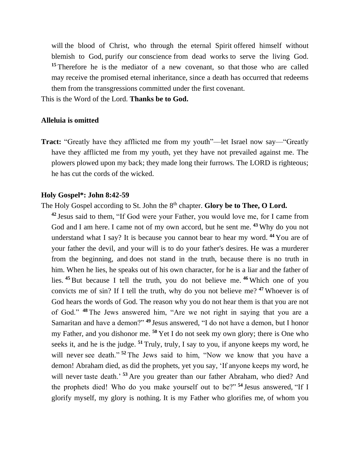will the blood of Christ, who through the eternal Spirit offered himself without blemish to God, purify our conscience from dead works to serve the living God. <sup>15</sup> Therefore he is the mediator of a new covenant, so that those who are called may receive the promised eternal inheritance, since a death has occurred that redeems them from the transgressions committed under the first covenant.

This is the Word of the Lord. **Thanks be to God.**

#### **Alleluia is omitted**

**Tract:** "Greatly have they afflicted me from my youth"—let Israel now say—"Greatly have they afflicted me from my youth, yet they have not prevailed against me. The plowers plowed upon my back; they made long their furrows. The LORD is righteous; he has cut the cords of the wicked.

#### **Holy Gospel\*: John 8:42-59**

The Holy Gospel according to St. John the 8<sup>th</sup> chapter. **Glory be to Thee, O Lord.** 

**<sup>42</sup>** Jesus said to them, "If God were your Father, you would love me, for I came from God and I am here. I came not of my own accord, but he sent me. **<sup>43</sup>** Why do you not understand what I say? It is because you cannot bear to hear my word. **<sup>44</sup>** You are of your father the devil, and your will is to do your father's desires. He was a murderer from the beginning, and does not stand in the truth, because there is no truth in him. When he lies, he speaks out of his own character, for he is a liar and the father of lies. **<sup>45</sup>** But because I tell the truth, you do not believe me. **<sup>46</sup>** Which one of you convicts me of sin? If I tell the truth, why do you not believe me? **<sup>47</sup>** Whoever is of God hears the words of God. The reason why you do not hear them is that you are not of God." **<sup>48</sup>** The Jews answered him, "Are we not right in saying that you are a Samaritan and have a demon?" **<sup>49</sup>** Jesus answered, "I do not have a demon, but I honor my Father, and you dishonor me. **<sup>50</sup>** Yet I do not seek my own glory; there is One who seeks it, and he is the judge. **<sup>51</sup>** Truly, truly, I say to you, if anyone keeps my word, he will never see death."<sup>52</sup> The Jews said to him, "Now we know that you have a demon! Abraham died, as did the prophets, yet you say, 'If anyone keeps my word, he will never taste death.<sup>53</sup> Are you greater than our father Abraham, who died? And the prophets died! Who do you make yourself out to be?" **<sup>54</sup>** Jesus answered, "If I glorify myself, my glory is nothing. It is my Father who glorifies me, of whom you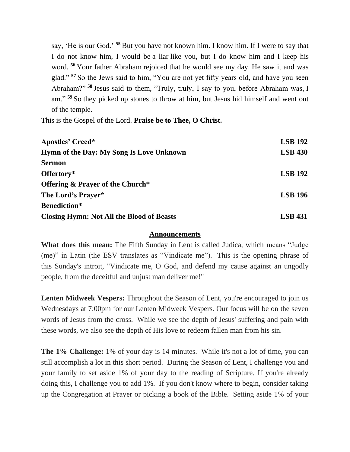say, 'He is our God.' **<sup>55</sup>** But you have not known him. I know him. If I were to say that I do not know him, I would be a liar like you, but I do know him and I keep his word. **<sup>56</sup>** Your father Abraham rejoiced that he would see my day. He saw it and was glad." **<sup>57</sup>** So the Jews said to him, "You are not yet fifty years old, and have you seen Abraham?" **<sup>58</sup>** Jesus said to them, "Truly, truly, I say to you, before Abraham was, I am." **<sup>59</sup>** So they picked up stones to throw at him, but Jesus hid himself and went out of the temple.

This is the Gospel of the Lord. **Praise be to Thee, O Christ.**

| <b>Apostles' Creed*</b>                          | <b>LSB 192</b> |
|--------------------------------------------------|----------------|
| Hymn of the Day: My Song Is Love Unknown         | <b>LSB 430</b> |
| <b>Sermon</b>                                    |                |
| Offertory*                                       | <b>LSB 192</b> |
| <b>Offering &amp; Prayer of the Church*</b>      |                |
| The Lord's Prayer*                               | <b>LSB 196</b> |
| <b>Benediction*</b>                              |                |
| <b>Closing Hymn: Not All the Blood of Beasts</b> | <b>LSB</b> 431 |

#### **Announcements**

**What does this mean:** The Fifth Sunday in Lent is called Judica, which means "Judge (me)" in Latin (the ESV translates as "Vindicate me"). This is the opening phrase of this Sunday's introit, "Vindicate me, O God, and defend my cause against an ungodly people, from the deceitful and unjust man deliver me!"

Lenten Midweek Vespers: Throughout the Season of Lent, you're encouraged to join us Wednesdays at 7:00pm for our Lenten Midweek Vespers. Our focus will be on the seven words of Jesus from the cross. While we see the depth of Jesus' suffering and pain with these words, we also see the depth of His love to redeem fallen man from his sin.

**The 1% Challenge:** 1% of your day is 14 minutes. While it's not a lot of time, you can still accomplish a lot in this short period. During the Season of Lent, I challenge you and your family to set aside 1% of your day to the reading of Scripture. If you're already doing this, I challenge you to add 1%. If you don't know where to begin, consider taking up the Congregation at Prayer or picking a book of the Bible. Setting aside 1% of your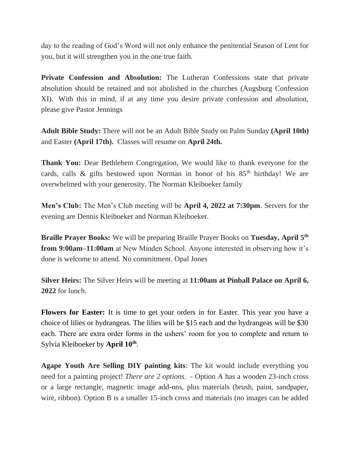day to the reading of God's Word will not only enhance the penitential Season of Lent for you, but it will strengthen you in the one true faith.

**Private Confession and Absolution:** The Lutheran Confessions state that private absolution should be retained and not abolished in the churches (Augsburg Confession XI). With this in mind, if at any time you desire private confession and absolution, please give Pastor Jennings

**Adult Bible Study:** There will not be an Adult Bible Study on Palm Sunday **(April 10th)** and Easter **(April 17th).** Classes will resume on **April 24th.**

**Thank You:** Dear Bethlehem Congregation, We would like to thank everyone for the cards, calls & gifts bestowed upon Norman in honor of his  $85<sup>th</sup>$  birthday! We are overwhelmed with your generosity. The Norman Kleiboeker family

**Men's Club:** The Men's Club meeting will be **April 4, 2022 at 7:30pm**. Servers for the evening are Dennis Kleiboeker and Norman Kleiboeker.

**Braille Prayer Books:** We will be preparing Braille Prayer Books on **Tuesday, April 5th from 9:00am–11:00am** at New Minden School. Anyone interested in observing how it's done is welcome to attend. No commitment. Opal Jones

**Silver Heirs:** The Silver Heirs will be meeting at **11:00am at Pinball Palace on April 6, 2022** for lunch.

**Flowers for Easter:** It is time to get your orders in for Easter. This year you have a choice of lilies or hydrangeas. The lilies will be \$15 each and the hydrangeas will be \$30 each. There are extra order forms in the ushers' room for you to complete and return to Sylvia Kleiboeker by **April 10th** .

**Agape Youth Are Selling DIY painting kits**: The kit would include everything you need for a painting project! *There are 2 options*. - Option A has a wooden 23-inch cross or a large rectangle, magnetic image add-ons, plus materials (brush, paint, sandpaper, wire, ribbon). Option B is a smaller 15-inch cross and materials (no images can be added